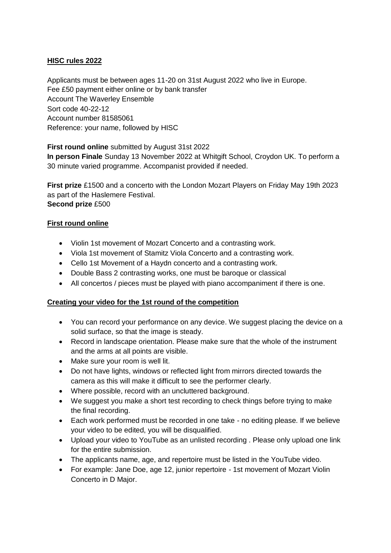## **HISC rules 2022**

Applicants must be between ages 11-20 on 31st August 2022 who live in Europe. Fee £50 payment either online or by bank transfer Account The Waverley Ensemble Sort code 40-22-12 Account number 81585061 Reference: your name, followed by HISC

**First round online** submitted by August 31st 2022 **In person Finale** Sunday 13 November 2022 at Whitgift School, Croydon UK. To perform a 30 minute varied programme. Accompanist provided if needed.

**First prize** £1500 and a concerto with the London Mozart Players on Friday May 19th 2023 as part of the Haslemere Festival. **Second prize** £500

## **First round online**

- Violin 1st movement of Mozart Concerto and a contrasting work.
- Viola 1st movement of Stamitz Viola Concerto and a contrasting work.
- Cello 1st Movement of a Haydn concerto and a contrasting work.
- Double Bass 2 contrasting works, one must be baroque or classical
- All concertos / pieces must be played with piano accompaniment if there is one.

## **Creating your video for the 1st round of the competition**

- You can record your performance on any device. We suggest placing the device on a solid surface, so that the image is steady.
- Record in landscape orientation. Please make sure that the whole of the instrument and the arms at all points are visible.
- Make sure your room is well lit.
- Do not have lights, windows or reflected light from mirrors directed towards the camera as this will make it difficult to see the performer clearly.
- Where possible, record with an uncluttered background.
- We suggest you make a short test recording to check things before trying to make the final recording.
- Each work performed must be recorded in one take no editing please. If we believe your video to be edited, you will be disqualified.
- Upload your video to YouTube as an unlisted recording . Please only upload one link for the entire submission.
- The applicants name, age, and repertoire must be listed in the YouTube video.
- For example: Jane Doe, age 12, junior repertoire 1st movement of Mozart Violin Concerto in D Major.